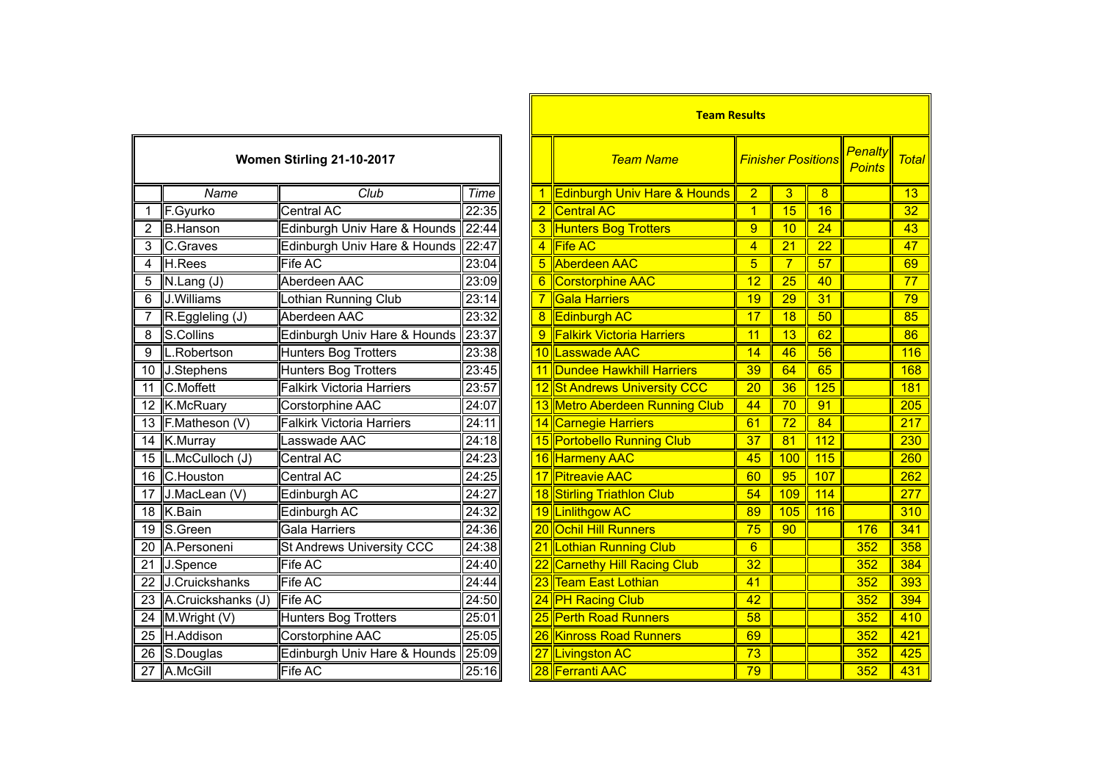| Women Stirling 21-10-2017 |                    |                                  |       |  |  |  |  |
|---------------------------|--------------------|----------------------------------|-------|--|--|--|--|
|                           | Name               | Club                             | Time  |  |  |  |  |
| 1                         | F.Gyurko           | Central AC                       | 22:35 |  |  |  |  |
| $\overline{2}$            | <b>B.Hanson</b>    | Edinburgh Univ Hare & Hounds     | 22:44 |  |  |  |  |
| 3                         | C.Graves           | Edinburgh Univ Hare & Hounds     | 22:47 |  |  |  |  |
| 4                         | H.Rees             | Fife AC                          | 23:04 |  |  |  |  |
| 5                         | N.Lang (J)         | Aberdeen AAC                     | 23:09 |  |  |  |  |
| 6                         | J.Williams         | Lothian Running Club             | 23:14 |  |  |  |  |
| 7                         | R.Eggleling (J)    | Aberdeen AAC                     | 23:32 |  |  |  |  |
| $\overline{8}$            | S.Collins          | Edinburgh Univ Hare & Hounds     | 23:37 |  |  |  |  |
| 9                         | L.Robertson        | <b>Hunters Bog Trotters</b>      | 23:38 |  |  |  |  |
| 10                        | J.Stephens         | <b>Hunters Bog Trotters</b>      | 23:45 |  |  |  |  |
| 11                        | <b>C.Moffett</b>   | <b>Falkirk Victoria Harriers</b> | 23:57 |  |  |  |  |
| 12                        | K.McRuary          | Corstorphine AAC                 | 24:07 |  |  |  |  |
| $\overline{13}$           | F.Matheson (V)     | <b>Falkirk Victoria Harriers</b> | 24:11 |  |  |  |  |
| 14                        | K.Murray           | Lasswade AAC                     | 24:18 |  |  |  |  |
| $\overline{15}$           | L.McCulloch (J)    | Central AC                       | 24:23 |  |  |  |  |
| 16                        | C.Houston          | Central AC                       | 24:25 |  |  |  |  |
| $\overline{17}$           | J.MacLean (V)      | Edinburgh AC                     | 24:27 |  |  |  |  |
| 18                        | K.Bain             | Edinburgh AC                     | 24:32 |  |  |  |  |
| 19                        | S.Green            | Gala Harriers                    | 24:36 |  |  |  |  |
| 20                        | A.Personeni        | <b>St Andrews University CCC</b> | 24:38 |  |  |  |  |
| $\overline{21}$           | J.Spence           | Fife AC                          | 24:40 |  |  |  |  |
| $\overline{22}$           | J.Cruickshanks     | Fife AC                          | 24:44 |  |  |  |  |
| 23                        | A.Cruickshanks (J) | <b>Fife AC</b>                   | 24:50 |  |  |  |  |
| $\overline{24}$           | M.Wright (V)       | <b>Hunters Bog Trotters</b>      | 25:01 |  |  |  |  |
| 25                        | H.Addison          | Corstorphine AAC                 | 25:05 |  |  |  |  |
| $\overline{26}$           | S.Douglas          | Edinburgh Univ Hare & Hounds     | 25:09 |  |  |  |  |
| 27                        | A.McGill           | Fife AC                          | 25:16 |  |  |  |  |

|                 |                     |                                      |                    |                | <b>Team Results</b>              |                 |                           |                 |                                 |              |
|-----------------|---------------------|--------------------------------------|--------------------|----------------|----------------------------------|-----------------|---------------------------|-----------------|---------------------------------|--------------|
|                 |                     | Women Stirling 21-10-2017            |                    |                | <b>Team Name</b>                 |                 | <b>Finisher Positions</b> |                 | <b>Penalty</b><br><b>Points</b> | <b>Total</b> |
|                 | Name                | Club                                 | Time               |                | 1 Edinburgh Univ Hare & Hounds   | $\overline{2}$  | 3                         | 8               |                                 | 13           |
| $\mathbf{1}$    | F.Gyurko            | Central AC                           | 22:35              | $\mathbf{2}^-$ | <b>Central AC</b>                | $\mathbf{1}$    | 15                        | 16              |                                 | 32           |
| $\overline{2}$  | <b>B.Hanson</b>     | Edinburgh Univ Hare & Hounds   22:44 |                    |                | 3 Hunters Bog Trotters           | 9               | 10                        | 24              |                                 | 43           |
| 3               | <b>C.Graves</b>     | Edinburgh Univ Hare & Hounds 22:47   |                    |                | 4 Fife AC                        | $\overline{4}$  | 21                        | 22              |                                 | 47           |
| $\overline{4}$  | H.Rees              | <b>Fife AC</b>                       | 23:04              |                | 5 Aberdeen AAC                   | $\overline{5}$  | $\overline{7}$            | 57              |                                 | 69           |
| 5               | N.Lang (J)          | Aberdeen AAC                         | 23:09              | 6              | Corstorphine AAC                 | 12              | 25                        | 40              |                                 | 77           |
| $6\phantom{1}6$ | J.Williams          | <b>Lothian Running Club</b>          | 23:14              |                | <b>Gala Harriers</b>             | 19              | 29                        | $\overline{31}$ |                                 | 79           |
| $\overline{7}$  | R.Eggleling (J)     | Aberdeen AAC                         | 23:32              | 8 <sup>°</sup> | <b>Edinburgh AC</b>              | $\overline{17}$ | 18                        | 50              |                                 | 85           |
| 8               | S.Collins           | Edinburgh Univ Hare & Hounds 23:37   |                    | 9              | <b>Falkirk Victoria Harriers</b> | 11              | 13                        | 62              |                                 | 86           |
| 9               | L.Robertson         | <b>Hunters Bog Trotters</b>          | 23:38              |                | 10 Lasswade AAC                  | 14              | 46                        | 56              |                                 | 116          |
|                 | 10 J.Stephens       | <b>Hunters Bog Trotters</b>          | 23:45              |                | 11 Dundee Hawkhill Harriers      | 39              | 64                        | 65              |                                 | 168          |
|                 | 11 C.Moffett        | <b>Falkirk Victoria Harriers</b>     | 23:57              |                | 12 St Andrews University CCC     | 20              | 36                        | 125             |                                 | 181          |
|                 | 12 K.McRuary        | Corstorphine AAC                     | 24:07              |                | 13 Metro Aberdeen Running Club   | 44              | 70                        | 91              |                                 | 205          |
|                 | 13 F.Matheson (V)   | <b>Falkirk Victoria Harriers</b>     | $\overline{2}4:11$ |                | 14 Carnegie Harriers             | 61              | 72                        | 84              |                                 | 217          |
|                 | 14 K.Murray         | Lasswade AAC                         | 24:18              |                | 15 Portobello Running Club       | 37              | 81                        | 112             |                                 | 230          |
|                 | 15  L.McCulloch (J) | Central AC                           | 24:23              |                | 16 Harmeny AAC                   | 45              | 100                       | 115             |                                 | 260          |
|                 | 16 C.Houston        | <b>Central AC</b>                    | 24:25              |                | <b>Pitreavie AAC</b>             | 60              | 95                        | 107             |                                 | 262          |
|                 | 17 J.MacLean (V)    | Edinburgh AC                         | 24:27              |                | 18 Stirling Triathlon Club       | 54              | 109                       | 114             |                                 | 277          |
|                 | 18 K.Bain           | Edinburgh AC                         | 24:32              |                | 19 Linlithgow AC                 | 89              | 105                       | 116             |                                 | 310          |
|                 | 19 S.Green          | Gala Harriers                        | 24:36              |                | 20 Ochil Hill Runners            | 75              | 90                        |                 | 176                             | 341          |
|                 | 20 A.Personeni      | <b>St Andrews University CCC</b>     | 24:38              |                | 21 Lothian Running Club          | 6               |                           |                 | 352                             | 358          |
| 21              | J.Spence            | Fife AC                              | 24:40              |                | 22 Carnethy Hill Racing Club     | 32              |                           |                 | 352                             | 384          |
| 22              | J.Cruickshanks      | <b>Fife AC</b>                       | 24:44              |                | 23 Team East Lothian             | 41              |                           |                 | 352                             | 393          |
| 23              | A.Cruickshanks (J)  | <b>Fife AC</b>                       | 24:50              |                | 24 PH Racing Club                | 42              |                           |                 | 352                             | 394          |
|                 | 24 M.Wright (V)     | Hunters Bog Trotters                 | 25:01              |                | 25 Perth Road Runners            | 58              |                           |                 | 352                             | 410          |
|                 | 25 H.Addison        | <b>Corstorphine AAC</b>              | 25:05              |                | 26 Kinross Road Runners          | 69              |                           |                 | 352                             | 421          |
| $\overline{26}$ | S.Douglas           | Edinburgh Univ Hare & Hounds 25:09   |                    | 27             | <b>Livingston AC</b>             | 73              |                           |                 | 352                             | 425          |
|                 | 27 A.McGill         | <b>Fife AC</b>                       | 25:16              |                | 28 Ferranti AAC                  | 79              |                           |                 | 352                             | 431          |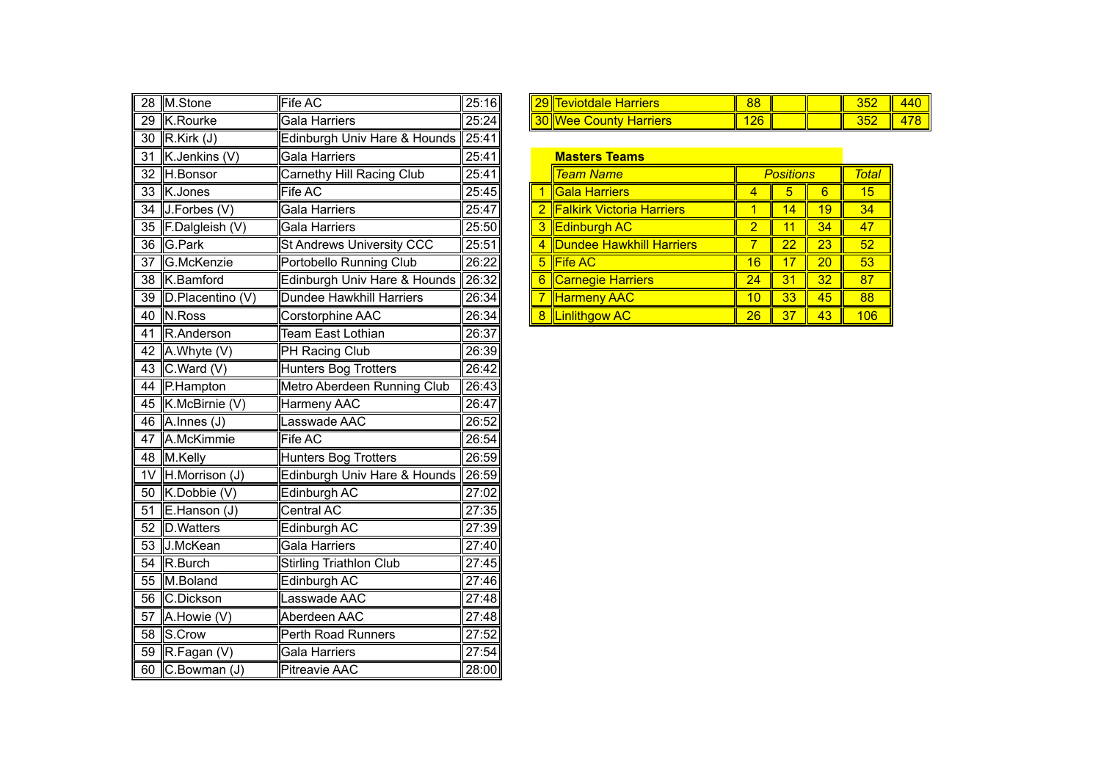| 28             | M.Stone          | Fife AC                          | 25:16  |   | 29 Teviotdale Harriers          | 88             |                  |                 | 352             |
|----------------|------------------|----------------------------------|--------|---|---------------------------------|----------------|------------------|-----------------|-----------------|
| 29             | K.Rourke         | <b>Gala Harriers</b>             | 25:24  |   | <b>30 Wee County Harriers</b>   | 126            |                  |                 | 352             |
| 30             | R.Kirk (J)       | Edinburgh Univ Hare & Hounds     | 25:41  |   |                                 |                |                  |                 |                 |
| 31             | K.Jenkins (V)    | Gala Harriers                    | 25:41  |   | <b>Masters Teams</b>            |                |                  |                 |                 |
| 32             | H.Bonsor         | Carnethy Hill Racing Club        | 25:41  |   | <b>Team Name</b>                |                | <b>Positions</b> |                 | <b>Total</b>    |
| 33             | K.Jones          | Fife AC                          | 25:45  |   | Gala Harriers                   | 4              | 5                | $6\overline{6}$ | 15              |
| 34             | J.Forbes (V)     | Gala Harriers                    | 25:47  |   | 2 Falkirk Victoria Harriers     | $\overline{1}$ | 14               | 19              | 34              |
| 35             | F.Dalgleish (V)  | Gala Harriers                    | 25:50  | 3 | <b>Edinburgh AC</b>             | $\overline{2}$ | $\overline{11}$  | 34              | 47              |
|                | 36 G.Park        | <b>St Andrews University CCC</b> | 25:51  | 4 | <b>Dundee Hawkhill Harriers</b> | $\overline{7}$ | $\overline{22}$  | 23              | 52              |
| 37             | G.McKenzie       | Portobello Running Club          | 26:22  | 5 | <b>Fife AC</b>                  | 16             | 17               | 20              | 53              |
| 38             | K.Bamford        | Edinburgh Univ Hare & Hounds     | 726:32 | 6 | Carnegie Harriers               | 24             | 31               | <u>32</u>       | 87 <sub>°</sub> |
| 39             | D.Placentino (V) | <b>Dundee Hawkhill Harriers</b>  | 26:34  |   | <b>Harmeny AAC</b>              | 10             | 33               | 45              | 88              |
| 40             | N.Ross           | Corstorphine AAC                 | 26:34  |   | 8 Linlithgow AC                 | 26             | 37               | 43              | 106             |
| 41             | R.Anderson       | Team East Lothian                | 26:37  |   |                                 |                |                  |                 |                 |
| 42             | A.Whyte (V)      | PH Racing Club                   | 26:39  |   |                                 |                |                  |                 |                 |
| 43             | C.Ward (V)       | <b>Hunters Bog Trotters</b>      | 26:42  |   |                                 |                |                  |                 |                 |
| 44             | P.Hampton        | Metro Aberdeen Running Club      | 26:43  |   |                                 |                |                  |                 |                 |
| 45             | K.McBirnie (V)   | Harmeny AAC                      | 26:47  |   |                                 |                |                  |                 |                 |
| 46             | $A.$ Innes (J)   | Lasswade AAC                     | 26:52  |   |                                 |                |                  |                 |                 |
| 47             | A.McKimmie       | Fife AC                          | 26:54  |   |                                 |                |                  |                 |                 |
|                | 48 M.Kelly       | <b>Hunters Bog Trotters</b>      | 26:59  |   |                                 |                |                  |                 |                 |
| 1 <sub>V</sub> | H.Morrison (J)   | Edinburgh Univ Hare & Hounds     | 26:59  |   |                                 |                |                  |                 |                 |
| 50             | K.Dobbie (V)     | Edinburgh AC                     | 27:02  |   |                                 |                |                  |                 |                 |
| 51             | E.Hanson (J)     | Central AC                       | 27:35  |   |                                 |                |                  |                 |                 |
| 52             | D.Watters        | Edinburgh AC                     | 27:39  |   |                                 |                |                  |                 |                 |
| 53             | J.McKean         | Gala Harriers                    | 27:40  |   |                                 |                |                  |                 |                 |
| 54             | R.Burch          | <b>Stirling Triathlon Club</b>   | 27:45  |   |                                 |                |                  |                 |                 |
| 55             | M.Boland         | Edinburgh AC                     | 27:46  |   |                                 |                |                  |                 |                 |
| 56             | C.Dickson        | Lasswade AAC                     | 27:48  |   |                                 |                |                  |                 |                 |
| 57             | A.Howie (V)      | Aberdeen AAC                     | 27:48  |   |                                 |                |                  |                 |                 |
| 58             | S.Crow           | Perth Road Runners               | 27:52  |   |                                 |                |                  |                 |                 |
|                | 59 R.Fagan (V)   | Gala Harriers                    | 27:54  |   |                                 |                |                  |                 |                 |
|                | 60 C.Bowman (J)  | <b>Pitreavie AAC</b>             | 28:00  |   |                                 |                |                  |                 |                 |

| 28 | <b>IM.Stone</b>                          | <b>IFife AC</b>                                   | 25:16 | riare<br>. .<br>dale<br>īdi<br>er         | 88  |  | ---<br>JUZ | $\overline{ }$<br><b>440</b>  |
|----|------------------------------------------|---------------------------------------------------|-------|-------------------------------------------|-----|--|------------|-------------------------------|
| 29 | $\overline{\phantom{0}}$<br>ΙK<br>Rourke | $\mathsf{L}$<br>Harriers<br>$-$ nin $-$<br>liodid | 25:24 | Harriers<br>wve<br><b>⊸our*</b><br>$\sim$ | 126 |  | ---<br>JUZ | $\overline{\phantom{a}}$<br>. |

| <b>Masters Teams</b> |                                  |                  |       |    |     |  |  |
|----------------------|----------------------------------|------------------|-------|----|-----|--|--|
|                      | <b>Team Name</b>                 | <b>Positions</b> | Total |    |     |  |  |
|                      | <b>Gala Harriers</b>             |                  | 5     | 6  | 15  |  |  |
| $\overline{2}$       | <b>Falkirk Victoria Harriers</b> |                  | 14    | 19 | 34  |  |  |
| 3                    | <b>Edinburgh AC</b>              | $\overline{2}$   | 11    | 34 | 47  |  |  |
| 4                    | Dundee Hawkhill Harriers         | 7                | 22    | 23 | 52  |  |  |
| 5                    | <b>Fife AC</b>                   | 16               | 17    | 20 | 53  |  |  |
| 6                    | <b>Carnegie Harriers</b>         | 24               | 31    | 32 | 87  |  |  |
|                      | <b>Harmeny AAC</b>               | 10               | 33    | 45 | 88  |  |  |
| 8                    | <b>Linlithgow AC</b>             | 26               | 37    | 43 | 106 |  |  |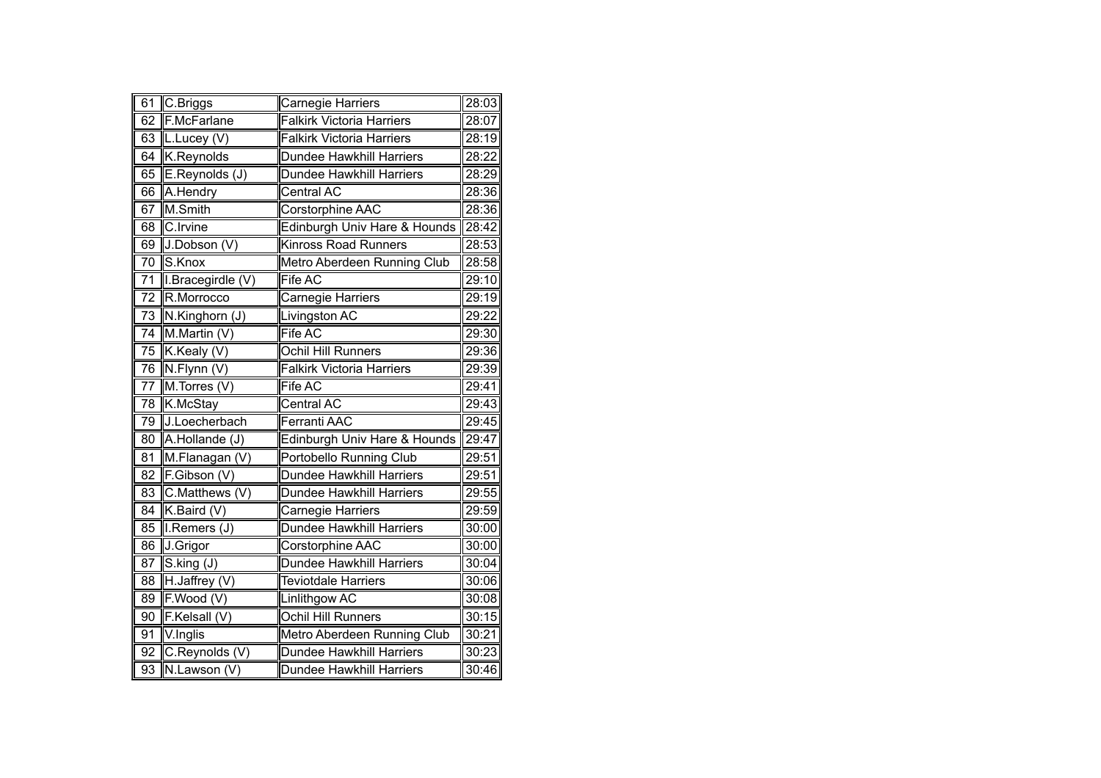| 61              | C.Briggs           | Carnegie Harriers                | 28:03 |
|-----------------|--------------------|----------------------------------|-------|
| 62              | <b>F.McFarlane</b> | <b>Falkirk Victoria Harriers</b> | 28:07 |
| 63              | L.Lucey (V)        | <b>Falkirk Victoria Harriers</b> | 28:19 |
| 64              | K.Reynolds         | Dundee Hawkhill Harriers         | 28:22 |
| 65              | E.Reynolds (J)     | <b>Dundee Hawkhill Harriers</b>  | 28:29 |
| 66              | A.Hendry           | <b>Central AC</b>                | 28:36 |
| 67              | M.Smith            | Corstorphine AAC                 | 28:36 |
| 68              | C.Irvine           | Edinburgh Univ Hare & Hounds     | 28:42 |
| 69              | J.Dobson (V)       | <b>Kinross Road Runners</b>      | 28:53 |
| $\overline{70}$ | S.Knox             | Metro Aberdeen Running Club      | 28:58 |
| 71              | I.Bracegirdle (V)  | Fife AC                          | 29:10 |
| 72              | R.Morrocco         | Carnegie Harriers                | 29:19 |
| $\overline{73}$ | N.Kinghorn (J)     | Livingston AC                    | 29:22 |
| $\overline{74}$ | M.Martin (V)       | Fife AC                          | 29:30 |
| 75              | K.Kealy (V)        | Ochil Hill Runners               | 29:36 |
| 76              | N.Flynn (V)        | <b>Falkirk Victoria Harriers</b> | 29:39 |
| 77              | M.Torres (V)       | Fife AC                          | 29:41 |
| 78              | K.McStay           | <b>Central AC</b>                | 29:43 |
| 79              | J.Loecherbach      | <b>Ferranti AAC</b>              | 29:45 |
| 80              | A.Hollande (J)     | Edinburgh Univ Hare & Hounds     | 29:47 |
| $\overline{81}$ | M.Flanagan (V)     | <b>Portobello Running Club</b>   | 29:51 |
| $\overline{82}$ | F.Gibson (V)       | <b>Dundee Hawkhill Harriers</b>  | 29:51 |
| 83              | C.Matthews (V)     | <b>Dundee Hawkhill Harriers</b>  | 29:55 |
| 84              | K.Baird (V)        | Carnegie Harriers                | 29:59 |
| 85              | I.Remers (J)       | <b>Dundee Hawkhill Harriers</b>  | 30:00 |
| 86              | J.Grigor           | Corstorphine AAC                 | 30:00 |
| 87              | S.king (J)         | <b>Dundee Hawkhill Harriers</b>  | 30:04 |
| $\overline{88}$ | H.Jaffrey (V)      | <b>Teviotdale Harriers</b>       | 30:06 |
| 89              | F.Wood(V)          | Linlithgow AC                    | 30:08 |
| 90              | F.Kelsall (V)      | Ochil Hill Runners               | 30:15 |
| 91              | V.Inglis           | Metro Aberdeen Running Club      | 30:21 |
| $9\overline{2}$ | C.Reynolds (V)     | <b>Dundee Hawkhill Harriers</b>  | 30:23 |
| $\overline{93}$ | N.Lawson(V)        | Dundee Hawkhill Harriers         | 30:46 |